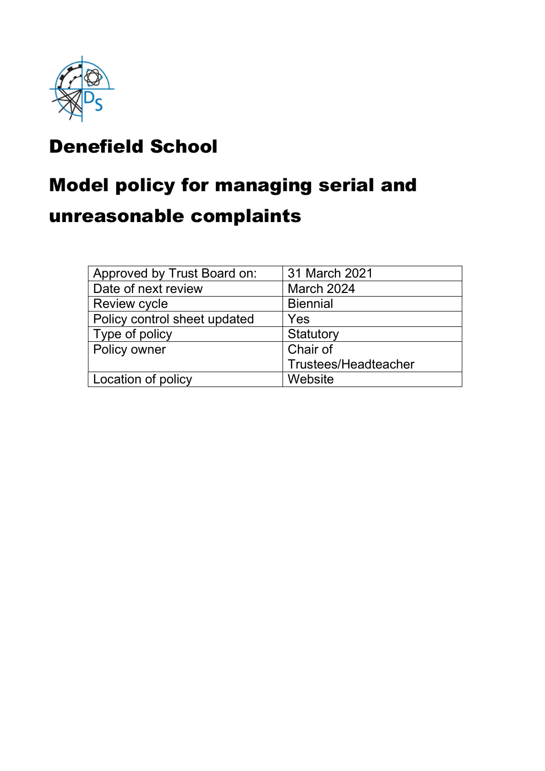

## Denefield School

## Model policy for managing serial and

## unreasonable complaints

| Approved by Trust Board on:  | 31 March 2021               |
|------------------------------|-----------------------------|
| Date of next review          | March 2024                  |
| <b>Review cycle</b>          | <b>Biennial</b>             |
| Policy control sheet updated | Yes                         |
| Type of policy               | Statutory                   |
| Policy owner                 | Chair of                    |
|                              | <b>Trustees/Headteacher</b> |
| Location of policy           | Website                     |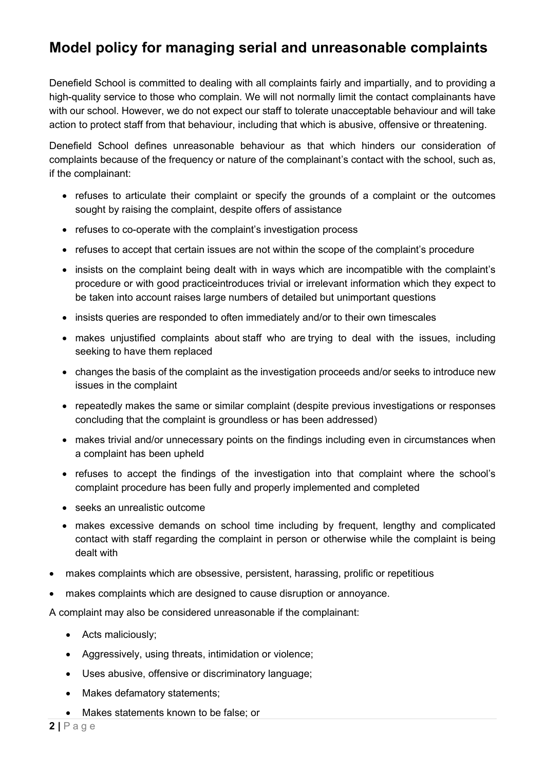## Model policy for managing serial and unreasonable complaints

Denefield School is committed to dealing with all complaints fairly and impartially, and to providing a high-quality service to those who complain. We will not normally limit the contact complainants have with our school. However, we do not expect our staff to tolerate unacceptable behaviour and will take action to protect staff from that behaviour, including that which is abusive, offensive or threatening.

Denefield School defines unreasonable behaviour as that which hinders our consideration of complaints because of the frequency or nature of the complainant's contact with the school, such as, if the complainant:

- refuses to articulate their complaint or specify the grounds of a complaint or the outcomes sought by raising the complaint, despite offers of assistance
- refuses to co-operate with the complaint's investigation process
- refuses to accept that certain issues are not within the scope of the complaint's procedure
- insists on the complaint being dealt with in ways which are incompatible with the complaint's procedure or with good practiceintroduces trivial or irrelevant information which they expect to be taken into account raises large numbers of detailed but unimportant questions
- insists queries are responded to often immediately and/or to their own timescales
- makes unjustified complaints about staff who are trying to deal with the issues, including seeking to have them replaced
- changes the basis of the complaint as the investigation proceeds and/or seeks to introduce new issues in the complaint
- repeatedly makes the same or similar complaint (despite previous investigations or responses concluding that the complaint is groundless or has been addressed)
- makes trivial and/or unnecessary points on the findings including even in circumstances when a complaint has been upheld
- refuses to accept the findings of the investigation into that complaint where the school's complaint procedure has been fully and properly implemented and completed
- seeks an unrealistic outcome
- makes excessive demands on school time including by frequent, lengthy and complicated contact with staff regarding the complaint in person or otherwise while the complaint is being dealt with
- makes complaints which are obsessive, persistent, harassing, prolific or repetitious
- makes complaints which are designed to cause disruption or annoyance.

A complaint may also be considered unreasonable if the complainant:

- Acts maliciously;
- Aggressively, using threats, intimidation or violence;
- Uses abusive, offensive or discriminatory language;
- Makes defamatory statements;
- Makes statements known to be false; or